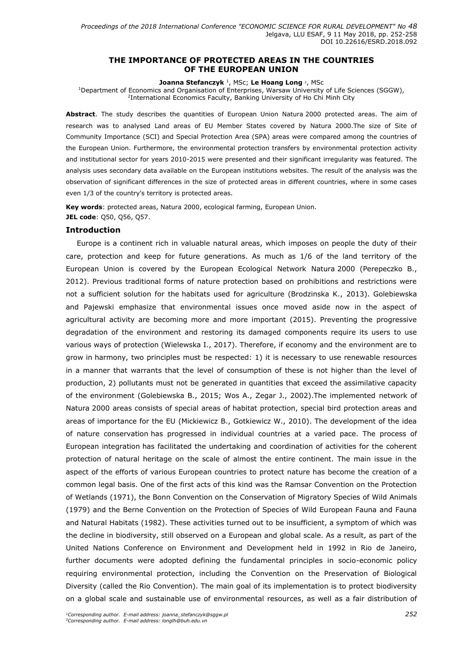## **THE IMPORTANCE OF PROTECTED AREAS IN THE COUNTRIES OF THE EUROPEAN UNION**

#### **Joanna Stefanczyk** <sup>1</sup> , MSc; **Le Hoang Long** <sup>2</sup>, MSc

<sup>1</sup>Department of Economics and Organisation of Enterprises, Warsaw University of Life Sciences (SGGW), <sup>2</sup>International Economics Faculty, Banking University of Ho Chi Minh City

**Abstract**. The study describes the quantities of European Union Natura 2000 protected areas. The aim of research was to analysed Land areas of EU Member States covered by Natura 2000.The size of Site of Community Importance (SCI) and Special Protection Area (SPA) areas were compared among the countries of the European Union. Furthermore, the environmental protection transfers by environmental protection activity and institutional sector for years 2010-2015 were presented and their significant irregularity was featured. The analysis uses secondary data available on the European institutions websites. The result of the analysis was the observation of significant differences in the size of protected areas in different countries, where in some cases even 1/3 of the country's territory is protected areas.

**Key words**: protected areas, Natura 2000, ecological farming, European Union. **JEL code**: Q50, Q56, Q57.

#### **Introduction**

Europe is a continent rich in valuable natural areas, which imposes on people the duty of their care, protection and keep for future generations. As much as 1/6 of the land territory of the European Union is covered by the European Ecological Network Natura 2000 (Perepeczko B., 2012). Previous traditional forms of nature protection based on prohibitions and restrictions were not a sufficient solution for the habitats used for agriculture (Brodzinska K., 2013). Golebiewska and Pajewski emphasize that environmental issues once moved aside now in the aspect of agricultural activity are becoming more and more important (2015). Preventing the progressive degradation of the environment and restoring its damaged components require its users to use various ways of protection (Wielewska I., 2017). Therefore, if economy and the environment are to grow in harmony, two principles must be respected: 1) it is necessary to use renewable resources in a manner that warrants that the level of consumption of these is not higher than the level of production, 2) pollutants must not be generated in quantities that exceed the assimilative capacity of the environment (Golebiewska B., 2015; Wos A., Zegar J., 2002).The implemented network of Natura 2000 areas consists of special areas of habitat protection, special bird protection areas and areas of importance for the EU (Mickiewicz B., Gotkiewicz W., 2010). The development of the idea of nature conservation has progressed in individual countries at a varied pace. The process of European integration has facilitated the undertaking and coordination of activities for the coherent protection of natural heritage on the scale of almost the entire continent. The main issue in the aspect of the efforts of various European countries to protect nature has become the creation of a common legal basis. One of the first acts of this kind was the Ramsar Convention on the Protection of Wetlands (1971), the Bonn Convention on the Conservation of Migratory Species of Wild Animals (1979) and the Berne Convention on the Protection of Species of Wild European Fauna and Fauna and Natural Habitats (1982). These activities turned out to be insufficient, a symptom of which was the decline in biodiversity, still observed on a European and global scale. As a result, as part of the United Nations Conference on Environment and Development held in 1992 in Rio de Janeiro, further documents were adopted defining the fundamental principles in socio-economic policy requiring environmental protection, including the Convention on the Preservation of Biological Diversity (called the Rio Convention). The main goal of its implementation is to protect biodiversity on a global scale and sustainable use of environmental resources, as well as a fair distribution of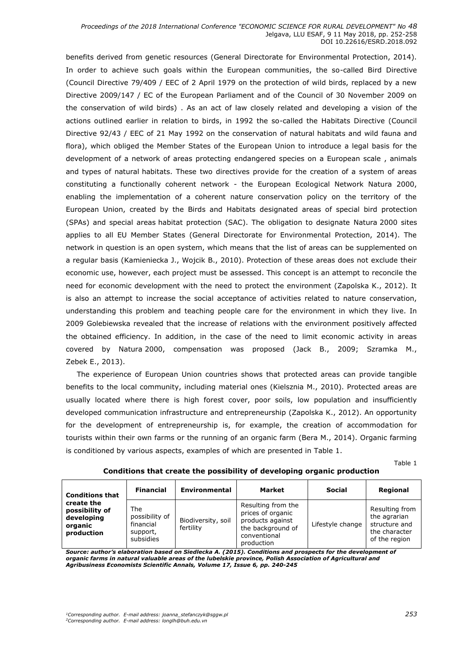benefits derived from genetic resources (General Directorate for Environmental Protection, 2014). In order to achieve such goals within the European communities, the so-called Bird Directive (Council Directive 79/409 / EEC of 2 April 1979 on the protection of wild birds, replaced by a new Directive 2009/147 / EC of the European Parliament and of the Council of 30 November 2009 on the conservation of wild birds) . As an act of law closely related and developing a vision of the actions outlined earlier in relation to birds, in 1992 the so-called the Habitats Directive (Council Directive 92/43 / EEC of 21 May 1992 on the conservation of natural habitats and wild fauna and flora), which obliged the Member States of the European Union to introduce a legal basis for the development of a network of areas protecting endangered species on a European scale , animals and types of natural habitats. These two directives provide for the creation of a system of areas constituting a functionally coherent network - the European Ecological Network Natura 2000, enabling the implementation of a coherent nature conservation policy on the territory of the European Union, created by the Birds and Habitats designated areas of special bird protection (SPAs) and special areas habitat protection (SAC). The obligation to designate Natura 2000 sites applies to all EU Member States (General Directorate for Environmental Protection, 2014). The network in question is an open system, which means that the list of areas can be supplemented on a regular basis (Kamieniecka J., Wojcik B., 2010). Protection of these areas does not exclude their economic use, however, each project must be assessed. This concept is an attempt to reconcile the need for economic development with the need to protect the environment (Zapolska K., 2012). It is also an attempt to increase the social acceptance of activities related to nature conservation, understanding this problem and teaching people care for the environment in which they live. In 2009 Golebiewska revealed that the increase of relations with the environment positively affected the obtained efficiency. In addition, in the case of the need to limit economic activity in areas covered by Natura 2000, compensation was proposed (Jack B., 2009; Szramka M., Zebek E., 2013).

The experience of European Union countries shows that protected areas can provide tangible benefits to the local community, including material ones (Kielsznia M., 2010). Protected areas are usually located where there is high forest cover, poor soils, low population and insufficiently developed communication infrastructure and entrepreneurship (Zapolska K., 2012). An opportunity for the development of entrepreneurship is, for example, the creation of accommodation for tourists within their own farms or the running of an organic farm (Bera M., 2014). Organic farming is conditioned by various aspects, examples of which are presented in Table 1.

Table 1

| <b>Conditions that</b><br>create the<br>possibility of<br>developing<br>organic<br>production | <b>Financial</b>                                            | Environmental                   | Market                                                                                                         | <b>Social</b>    | Regional                                                                          |
|-----------------------------------------------------------------------------------------------|-------------------------------------------------------------|---------------------------------|----------------------------------------------------------------------------------------------------------------|------------------|-----------------------------------------------------------------------------------|
|                                                                                               | The<br>possibility of<br>financial<br>support,<br>subsidies | Biodiversity, soil<br>fertility | Resulting from the<br>prices of organic<br>products against<br>the background of<br>conventional<br>production | Lifestyle change | Resulting from<br>the agrarian<br>structure and<br>the character<br>of the region |

**Conditions that create the possibility of developing organic production**

*Source: author's elaboration based on Siedlecka A. (2015). Conditions and prospects for the development of organic farms in natural valuable areas of the lubelskie province, Polish Association of Agricultural and Agribusiness Economists Scientific Annals, Volume 17, Issue 6, pp. 240-245*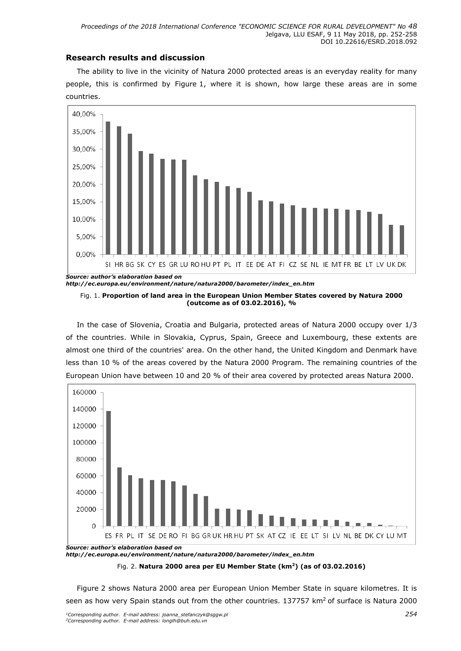## **Research results and discussion**

The ability to live in the vicinity of Natura 2000 protected areas is an everyday reality for many people, this is confirmed by Figure 1, where it is shown, how large these areas are in some countries.



*http://ec.europa.eu/environment/nature/natura2000/barometer/index\_en.htm*

Fig. 1. **Proportion of land area in the European Union Member States covered by Natura 2000 (outcome as of 03.02.2016), %**

In the case of Slovenia, Croatia and Bulgaria, protected areas of Natura 2000 occupy over 1/3 of the countries. While in Slovakia, Cyprus, Spain, Greece and Luxembourg, these extents are almost one third of the countries' area. On the other hand, the United Kingdom and Denmark have less than 10 % of the areas covered by the Natura 2000 Program. The remaining countries of the European Union have between 10 and 20 % of their area covered by protected areas Natura 2000.



Fig. 2. **Natura 2000 area per EU Member State (km<sup>2</sup>) (as of 03.02.2016)** 

Figure 2 shows Natura 2000 area per European Union Member State in square kilometres. It is seen as how very Spain stands out from the other countries. 137757 km<sup>2</sup> of surface is Natura 2000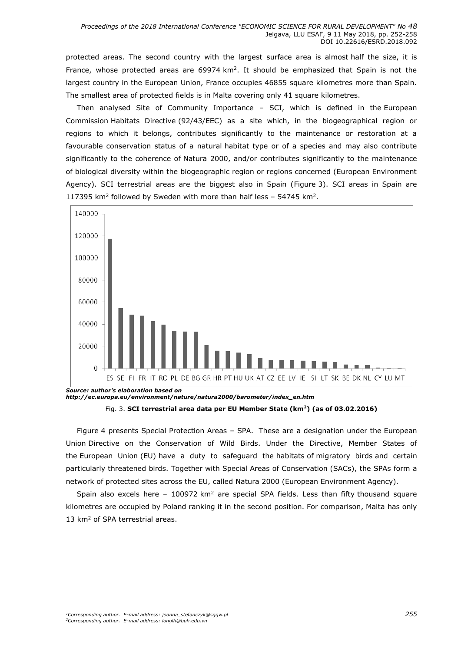protected areas. The second country with the largest surface area is almost half the size, it is France, whose protected areas are 69974 km<sup>2</sup>. It should be emphasized that Spain is not the largest country in the European Union, France occupies 46855 square kilometres more than Spain. The smallest area of protected fields is in Malta covering only 41 square kilometres.

Then analysed Site of Community Importance – SCI, which is defined in the [European](https://en.wikipedia.org/wiki/European_Commission)  [Commission](https://en.wikipedia.org/wiki/European_Commission) [Habitats Directive](https://en.wikipedia.org/wiki/Habitats_Directive) (92/43/EEC) as a site which, in the biogeographical region or regions to which it belongs, contributes significantly to the maintenance or restoration at a favourable conservation status of a natural habitat type or of a species and may also contribute significantly to the coherence of [Natura 2000,](https://en.wikipedia.org/wiki/Natura_2000) and/or contributes significantly to the maintenance of biological diversity within the biogeographic region or regions concerned (European Environment Agency). SCI terrestrial areas are the biggest also in Spain (Figure 3). SCI areas in Spain are 117395  $km^2$  followed by Sweden with more than half less  $-$  54745 km<sup>2</sup>.



*http://ec.europa.eu/environment/nature/natura2000/barometer/index\_en.htm* Fig. 3. **SCI terrestrial area data per EU Member State (km<sup>2</sup>) (as of 03.02.2016)** 

Figure 4 presents Special Protection Areas – SPA. These are a designation under the [European](https://en.wikipedia.org/wiki/European_Union)  [Union](https://en.wikipedia.org/wiki/European_Union) [Directive on the Conservation of Wild](https://en.wikipedia.org/wiki/Birds_Directive) Birds. Under the Directive, Member States of the [European Union](https://en.wikipedia.org/wiki/European_Union) (EU) have a duty to safeguard the [habitats](https://en.wikipedia.org/wiki/Habitat_(ecology)) of [migratory birds](https://en.wikipedia.org/wiki/Bird_migration) and certain particularly threatened birds. Together with [Special Areas of Conservation](https://en.wikipedia.org/wiki/Special_Area_of_Conservation) (SACs), the SPAs form a network of protected sites across the EU, called [Natura 2000](https://en.wikipedia.org/wiki/Natura_2000) (European Environment Agency).

Spain also excels here  $-100972 \text{ km}^2$  are special SPA fields. Less than fifty thousand square kilometres are occupied by Poland ranking it in the second position. For comparison, Malta has only 13 km<sup>2</sup> of SPA terrestrial areas.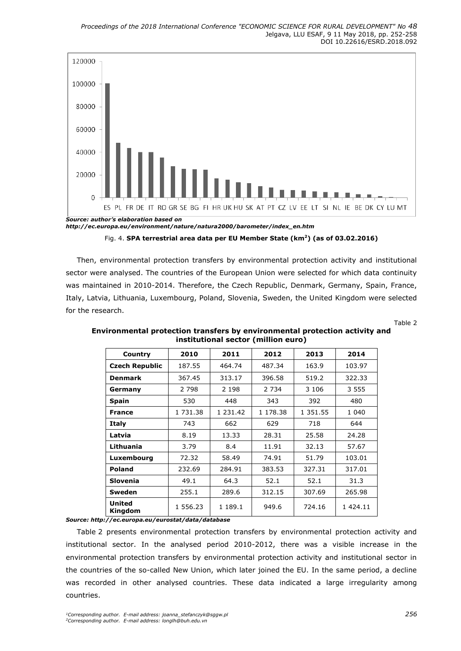

Fig. 4. **SPA terrestrial area data per EU Member State (km<sup>2</sup>) (as of 03.02.2016)** 

Then, environmental protection transfers by environmental protection activity and institutional sector were analysed. The countries of the European Union were selected for which data continuity was maintained in 2010-2014. Therefore, the Czech Republic, Denmark, Germany, Spain, France, Italy, Latvia, Lithuania, Luxembourg, Poland, Slovenia, Sweden, the United Kingdom were selected for the research.

Table 2

| Country                  | 2010     | 2011     | 2012     | 2013     | 2014          |
|--------------------------|----------|----------|----------|----------|---------------|
| <b>Czech Republic</b>    | 187.55   | 464.74   | 487.34   | 163.9    | 103.97        |
| <b>Denmark</b>           | 367.45   | 313.17   | 396.58   | 519.2    | 322.33        |
| Germany                  | 2 7 9 8  | 2 1 9 8  | 2 7 3 4  | 3 1 0 6  | 3 5 5 5       |
| Spain                    | 530      | 448      | 343      | 392      | 480           |
| <b>France</b>            | 1 731.38 | 1 231.42 | 1 178.38 | 1 351.55 | 1 040         |
| Italy                    | 743      | 662      | 629      | 718      | 644           |
| Latvia                   | 8.19     | 13.33    | 28.31    | 25.58    | 24.28         |
| Lithuania                | 3.79     | 8.4      | 11.91    | 32.13    | 57.67         |
| Luxembourg               | 72.32    | 58.49    | 74.91    | 51.79    | 103.01        |
| <b>Poland</b>            | 232.69   | 284.91   | 383.53   | 327.31   | 317.01        |
| Slovenia                 | 49.1     | 64.3     | 52.1     | 52.1     | 31.3          |
| Sweden                   | 255.1    | 289.6    | 312.15   | 307.69   | 265.98        |
| <b>United</b><br>Kingdom | 1 556.23 | 1 189.1  | 949.6    | 724.16   | 1 4 2 4 . 1 1 |

**Environmental protection transfers by environmental protection activity and institutional sector (million euro)**

*Source:<http://ec.europa.eu/eurostat/data/database>*

Table 2 presents environmental protection transfers by environmental protection activity and institutional sector. In the analysed period 2010-2012, there was a visible increase in the environmental protection transfers by environmental protection activity and institutional sector in the countries of the so-called New Union, which later joined the EU. In the same period, a decline was recorded in other analysed countries. These data indicated a large irregularity among countries.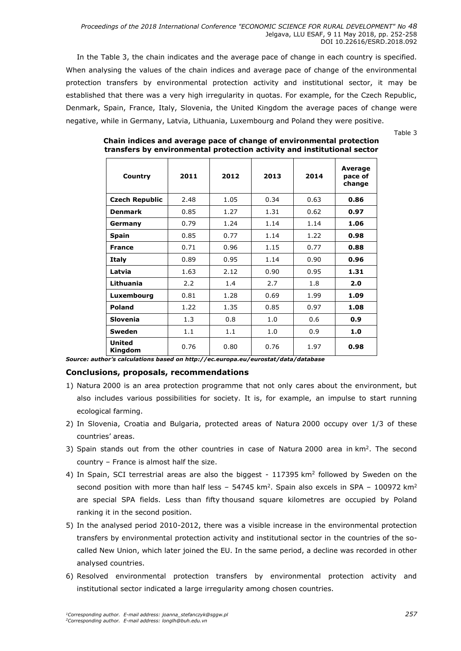*Proceedings of the 2018 International Conference "ECONOMIC SCIENCE FOR RURAL DEVELOPMENT" No 48* Jelgava, LLU ESAF, 9 11 May 2018, pp. 252-258 DOI 10.22616/ESRD.2018.092

In the Table 3, the chain indicates and the average pace of change in each country is specified. When analysing the values of the chain indices and average pace of change of the environmental protection transfers by environmental protection activity and institutional sector, it may be established that there was a very high irregularity in quotas. For example, for the Czech Republic, Denmark, Spain, France, Italy, Slovenia, the United Kingdom the average paces of change were negative, while in Germany, Latvia, Lithuania, Luxembourg and Poland they were positive.

Table 3

| Country                  | 2011 | 2012 | 2013 | 2014 | Average<br>pace of<br>change |
|--------------------------|------|------|------|------|------------------------------|
| <b>Czech Republic</b>    | 2.48 | 1.05 | 0.34 | 0.63 | 0.86                         |
| <b>Denmark</b>           | 0.85 | 1.27 | 1.31 | 0.62 | 0.97                         |
| Germany                  | 0.79 | 1.24 | 1.14 | 1.14 | 1.06                         |
| <b>Spain</b>             | 0.85 | 0.77 | 1.14 | 1.22 | 0.98                         |
| <b>France</b>            | 0.71 | 0.96 | 1.15 | 0.77 | 0.88                         |
| Italy                    | 0.89 | 0.95 | 1.14 | 0.90 | 0.96                         |
| Latvia                   | 1.63 | 2.12 | 0.90 | 0.95 | 1.31                         |
| Lithuania                | 2.2  | 1.4  | 2.7  | 1.8  | 2.0                          |
| Luxembourg               | 0.81 | 1.28 | 0.69 | 1.99 | 1.09                         |
| <b>Poland</b>            | 1.22 | 1.35 | 0.85 | 0.97 | 1.08                         |
| <b>Slovenia</b>          | 1.3  | 0.8  | 1.0  | 0.6  | 0.9                          |
| Sweden                   | 1.1  | 1.1  | 1.0  | 0.9  | 1.0                          |
| <b>United</b><br>Kingdom | 0.76 | 0.80 | 0.76 | 1.97 | 0.98                         |

**Chain indices and average pace of change of environmental protection transfers by environmental protection activity and institutional sector**

*Source: author's calculations based on http://ec.europa.eu/eurostat/data/database*

### **Conclusions, proposals, recommendations**

- 1) Natura 2000 is an area protection programme that not only cares about the environment, but also includes various possibilities for society. It is, for example, an impulse to start running ecological farming.
- 2) In Slovenia, Croatia and Bulgaria, protected areas of Natura 2000 occupy over 1/3 of these countries' areas.
- 3) Spain stands out from the other countries in case of Natura 2000 area in  $km<sup>2</sup>$ . The second country – France is almost half the size.
- 4) In Spain, SCI terrestrial areas are also the biggest  $117395 \text{ km}^2$  followed by Sweden on the second position with more than half less – 54745 km<sup>2</sup>. Spain also excels in SPA – 100972 km<sup>2</sup> are special SPA fields. Less than fifty thousand square kilometres are occupied by Poland ranking it in the second position.
- 5) In the analysed period 2010-2012, there was a visible increase in the environmental protection transfers by environmental protection activity and institutional sector in the countries of the socalled New Union, which later joined the EU. In the same period, a decline was recorded in other analysed countries.
- 6) Resolved environmental protection transfers by environmental protection activity and institutional sector indicated a large irregularity among chosen countries.